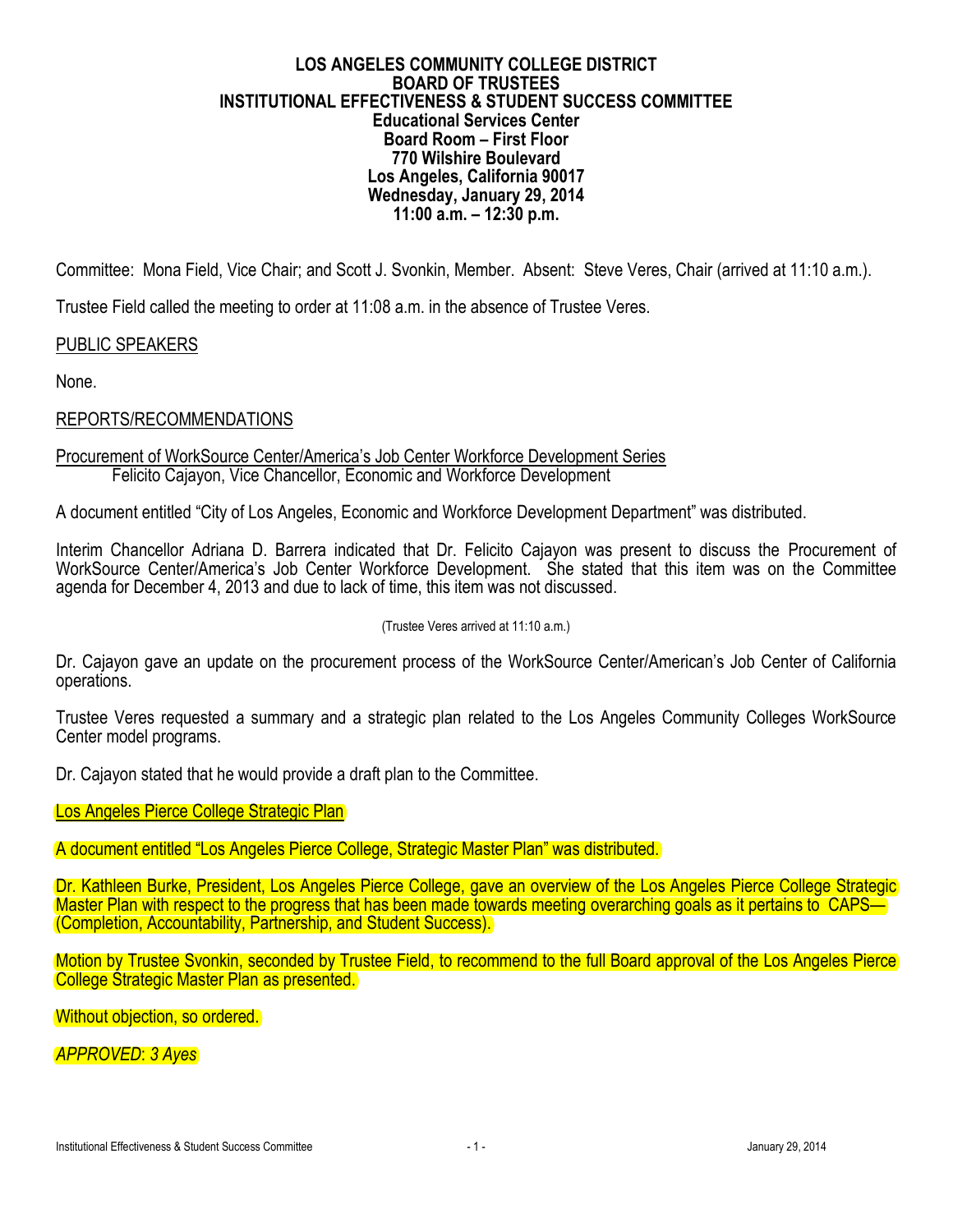### **LOS ANGELES COMMUNITY COLLEGE DISTRICT BOARD OF TRUSTEES INSTITUTIONAL EFFECTIVENESS & STUDENT SUCCESS COMMITTEE Educational Services Center Board Room – First Floor 770 Wilshire Boulevard Los Angeles, California 90017 Wednesday, January 29, 2014 11:00 a.m. – 12:30 p.m.**

Committee: Mona Field, Vice Chair; and Scott J. Svonkin, Member. Absent: Steve Veres, Chair (arrived at 11:10 a.m.).

Trustee Field called the meeting to order at 11:08 a.m. in the absence of Trustee Veres.

# PUBLIC SPEAKERS

None.

# REPORTS/RECOMMENDATIONS

### Procurement of WorkSource Center/America's Job Center Workforce Development Series Felicito Cajayon, Vice Chancellor, Economic and Workforce Development

A document entitled "City of Los Angeles, Economic and Workforce Development Department" was distributed.

Interim Chancellor Adriana D. Barrera indicated that Dr. Felicito Cajayon was present to discuss the Procurement of WorkSource Center/America's Job Center Workforce Development. She stated that this item was on the Committee agenda for December 4, 2013 and due to lack of time, this item was not discussed.

#### (Trustee Veres arrived at 11:10 a.m.)

Dr. Cajayon gave an update on the procurement process of the WorkSource Center/American's Job Center of California operations.

Trustee Veres requested a summary and a strategic plan related to the Los Angeles Community Colleges WorkSource Center model programs.

Dr. Cajayon stated that he would provide a draft plan to the Committee.

Los Angeles Pierce College Strategic Plan

A document entitled "Los Angeles Pierce College, Strategic Master Plan" was distributed.

Dr. Kathleen Burke, President, Los Angeles Pierce College, gave an overview of the Los Angeles Pierce College Strategic Master Plan with respect to the progress that has been made towards meeting overarching goals as it pertains to CAPS— (Completion, Accountability, Partnership, and Student Success).

Motion by Trustee Svonkin, seconded by Trustee Field, to recommend to the full Board approval of the Los Angeles Pierce College Strategic Master Plan as presented.

Without objection, so ordered.

*APPROVED*: *3 Ayes*